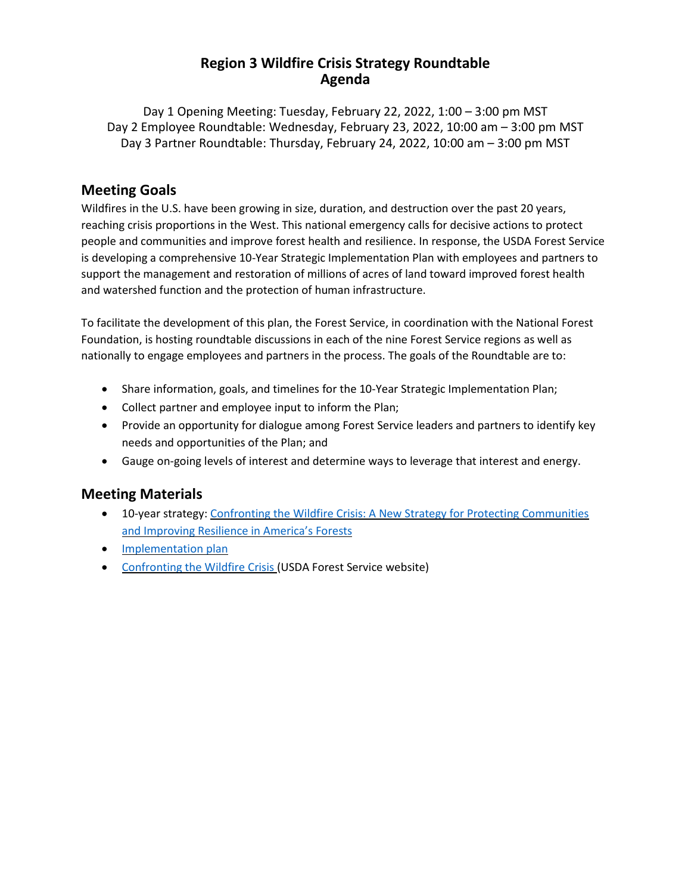## **Region 3 Wildfire Crisis Strategy Roundtable Agenda**

Day 1 Opening Meeting: Tuesday, February 22, 2022, 1:00 – 3:00 pm MST Day 2 Employee Roundtable: Wednesday, February 23, 2022, 10:00 am – 3:00 pm MST Day 3 Partner Roundtable: Thursday, February 24, 2022, 10:00 am – 3:00 pm MST

## **Meeting Goals**

Wildfires in the U.S. have been growing in size, duration, and destruction over the past 20 years, reaching crisis proportions in the West. This national emergency calls for decisive actions to protect people and communities and improve forest health and resilience. In response, the USDA Forest Service is developing a comprehensive 10-Year Strategic Implementation Plan with employees and partners to support the management and restoration of millions of acres of land toward improved forest health and watershed function and the protection of human infrastructure.

To facilitate the development of this plan, the Forest Service, in coordination with the National Forest Foundation, is hosting roundtable discussions in each of the nine Forest Service regions as well as nationally to engage employees and partners in the process. The goals of the Roundtable are to:

- Share information, goals, and timelines for the 10-Year Strategic Implementation Plan;
- Collect partner and employee input to inform the Plan;
- Provide an opportunity for dialogue among Forest Service leaders and partners to identify key needs and opportunities of the Plan; and
- Gauge on-going levels of interest and determine ways to leverage that interest and energy.

## **Meeting Materials**

- 10-year strategy: Confronting the Wildfire Crisis: A New Strategy for Protecting [Communities](https://www.fs.usda.gov/sites/default/files/Confronting-Wildfire-Crisis.pdf) and [Improving](https://www.fs.usda.gov/sites/default/files/Confronting-Wildfire-Crisis.pdf) Resilience in America's Forests
- [Implementation](https://www.fs.usda.gov/sites/default/files/Wildfire-Crisis-Implementation-Plan.pdf) plan
- [Confronting](https://www.fs.usda.gov/managing-land/wildfire-crisis) the Wildfire Crisis (USDA Forest Service website)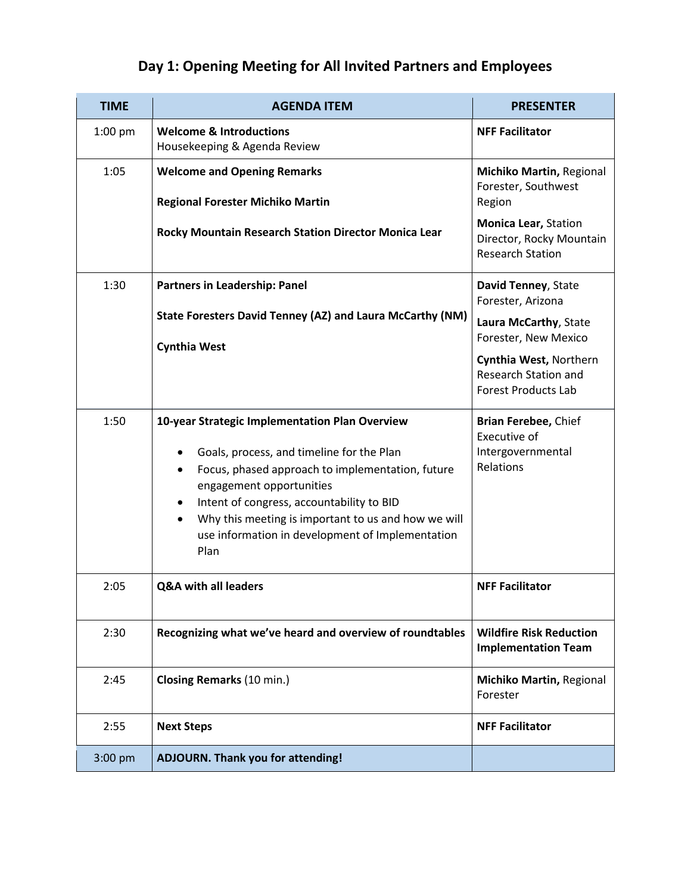## **Day 1: Opening Meeting for All Invited Partners and Employees**

| <b>TIME</b> | <b>AGENDA ITEM</b>                                                                                                                                                                                                                                                                                                                                                         | <b>PRESENTER</b>                                                                    |
|-------------|----------------------------------------------------------------------------------------------------------------------------------------------------------------------------------------------------------------------------------------------------------------------------------------------------------------------------------------------------------------------------|-------------------------------------------------------------------------------------|
| $1:00$ pm   | <b>Welcome &amp; Introductions</b><br>Housekeeping & Agenda Review                                                                                                                                                                                                                                                                                                         | <b>NFF Facilitator</b>                                                              |
| 1:05        | <b>Welcome and Opening Remarks</b><br><b>Regional Forester Michiko Martin</b>                                                                                                                                                                                                                                                                                              | Michiko Martin, Regional<br>Forester, Southwest<br>Region                           |
|             | Rocky Mountain Research Station Director Monica Lear                                                                                                                                                                                                                                                                                                                       | Monica Lear, Station<br>Director, Rocky Mountain<br><b>Research Station</b>         |
| 1:30        | <b>Partners in Leadership: Panel</b>                                                                                                                                                                                                                                                                                                                                       | David Tenney, State<br>Forester, Arizona                                            |
|             | State Foresters David Tenney (AZ) and Laura McCarthy (NM)                                                                                                                                                                                                                                                                                                                  | Laura McCarthy, State<br>Forester, New Mexico                                       |
|             | <b>Cynthia West</b>                                                                                                                                                                                                                                                                                                                                                        | Cynthia West, Northern<br><b>Research Station and</b><br><b>Forest Products Lab</b> |
| 1:50        | 10-year Strategic Implementation Plan Overview<br>Goals, process, and timeline for the Plan<br>٠<br>Focus, phased approach to implementation, future<br>$\bullet$<br>engagement opportunities<br>Intent of congress, accountability to BID<br>$\bullet$<br>Why this meeting is important to us and how we will<br>use information in development of Implementation<br>Plan | Brian Ferebee, Chief<br>Executive of<br>Intergovernmental<br>Relations              |
| 2:05        | <b>Q&amp;A with all leaders</b>                                                                                                                                                                                                                                                                                                                                            | <b>NFF Facilitator</b>                                                              |
| 2:30        | Recognizing what we've heard and overview of roundtables                                                                                                                                                                                                                                                                                                                   | <b>Wildfire Risk Reduction</b><br><b>Implementation Team</b>                        |
| 2:45        | Closing Remarks (10 min.)                                                                                                                                                                                                                                                                                                                                                  | Michiko Martin, Regional<br>Forester                                                |
| 2:55        | <b>Next Steps</b>                                                                                                                                                                                                                                                                                                                                                          | <b>NFF Facilitator</b>                                                              |
| $3:00$ pm   | <b>ADJOURN. Thank you for attending!</b>                                                                                                                                                                                                                                                                                                                                   |                                                                                     |